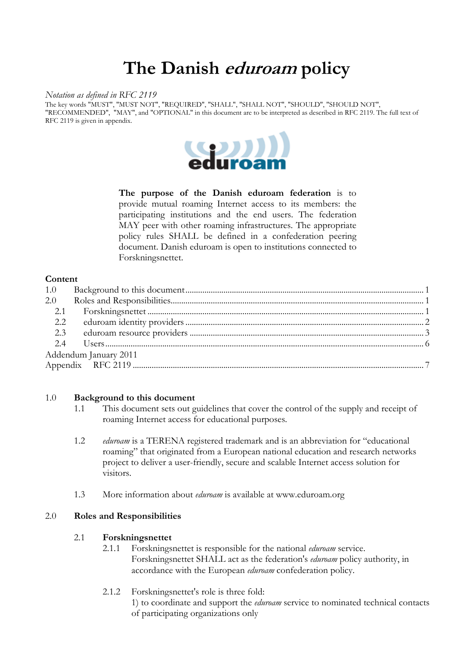# **The Danish eduroam policy**

#### *Notation as defined in RFC 2119*

The key words "MUST", "MUST NOT", "REQUIRED", "SHALL", "SHALL NOT", "SHOULD", "SHOULD NOT", "RECOMMENDED", "MAY", and "OPTIONAL" in this document are to be interpreted as described in RFC 2119. The full text of RFC 2119 is given in appendix.



**The purpose of the Danish eduroam federation** is to provide mutual roaming Internet access to its members: the participating institutions and the end users. The federation MAY peer with other roaming infrastructures. The appropriate policy rules SHALL be defined in a confederation peering document. Danish eduroam is open to institutions connected to Forskningsnettet.

## **Content**

| 2.0                   |  |  |
|-----------------------|--|--|
|                       |  |  |
|                       |  |  |
|                       |  |  |
|                       |  |  |
| Addendum January 2011 |  |  |
|                       |  |  |

#### 1.0 **Background to this document**

- 1.1 This document sets out guidelines that cover the control of the supply and receipt of roaming Internet access for educational purposes.
- 1.2 *eduroam* is a TERENA registered trademark and is an abbreviation for "educational roaming" that originated from a European national education and research networks project to deliver a user-friendly, secure and scalable Internet access solution for visitors.
- 1.3 More information about *eduroam* is available at www.eduroam.org

# 2.0 **Roles and Responsibilities**

# 2.1 **Forskningsnettet**

- 2.1.1 Forskningsnettet is responsible for the national *eduroam* service. Forskningsnettet SHALL act as the federation's *eduroam* policy authority, in accordance with the European *eduroam* confederation policy.
- 2.1.2 Forskningsnettet's role is three fold:
	- 1) to coordinate and support the *eduroam* service to nominated technical contacts of participating organizations only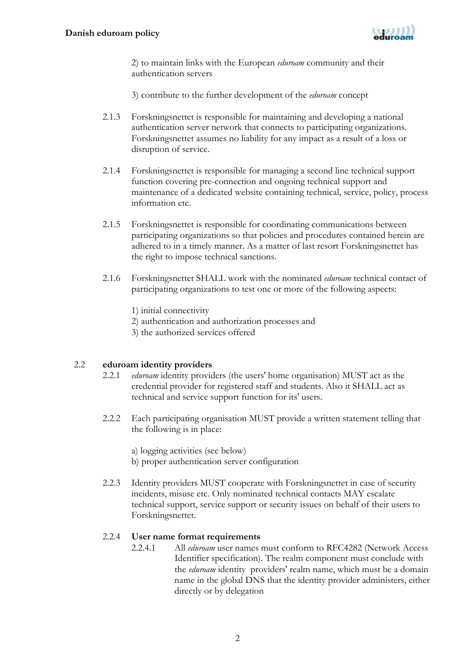

2) to maintain links with the European *eduroam* community and their authentication servers

3) contribute to the further development of the *eduroam* concept

- 2.1.3 Forskningsnettet is responsible for maintaining and developing a national authentication server network that connects to participating organizations. Forskningsnettet assumes no liability for any impact as a result of a loss or disruption of service.
- 2.1.4 Forskningsnettet is responsible for managing a second line technical support function covering pre-connection and ongoing technical support and maintenance of a dedicated website containing technical, service, policy, process information etc.
- 2.1.5 Forskningsnettet is responsible for coordinating communications between participating organizations so that policies and procedures contained herein are adhered to in a timely manner. As a matter of last resort Forskningsnettet has the right to impose technical sanctions.
- 2.1.6 Forskningsnettet SHALL work with the nominated *eduroam* technical contact of participating organizations to test one or more of the following aspects:
	- 1) initial connectivity
	- 2) authentication and authorization processes and
	- 3) the authorized services offered

# 2.2 **eduroam identity providers**

- 2.2.1 *eduroam* identity providers (the users' home organisation) MUST act as the credential provider for registered staff and students. Also it SHALL act as technical and service support function for its' users.
- 2.2.2 Each participating organisation MUST provide a written statement telling that the following is in place:
	- a) logging activities (see below)
	- b) proper authentication server configuration
- 2.2.3 Identity providers MUST cooperate with Forskningsnettet in case of security incidents, misuse etc. Only nominated technical contacts MAY escalate technical support, service support or security issues on behalf of their users to Forskningsnettet.

# 2.2.4 **User name format requirements**

2.2.4.1 All *eduroam* user names must conform to RFC4282 (Network Access Identifier specification). The realm component must conclude with the *eduroam* identity providers' realm name, which must be a domain name in the global DNS that the identity provider administers, either directly or by delegation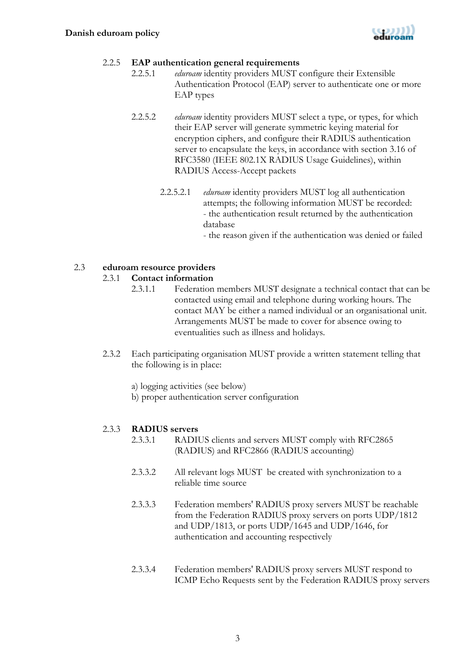

## 2.2.5 **EAP authentication general requirements**

- 2.2.5.1 *eduroam* identity providers MUST configure their Extensible Authentication Protocol (EAP) server to authenticate one or more EAP types
- 2.2.5.2 *eduroam* identity providers MUST select a type, or types, for which their EAP server will generate symmetric keying material for encryption ciphers, and configure their RADIUS authentication server to encapsulate the keys, in accordance with section 3.16 of RFC3580 (IEEE 802.1X RADIUS Usage Guidelines), within RADIUS Access-Accept packets
	- 2.2.5.2.1 *eduroam* identity providers MUST log all authentication attempts; the following information MUST be recorded: - the authentication result returned by the authentication database

- the reason given if the authentication was denied or failed

## 2.3 **eduroam resource providers**

#### 2.3.1 **Contact information**

- 2.3.1.1 Federation members MUST designate a technical contact that can be contacted using email and telephone during working hours. The contact MAY be either a named individual or an organisational unit. Arrangements MUST be made to cover for absence owing to eventualities such as illness and holidays.
- 2.3.2 Each participating organisation MUST provide a written statement telling that the following is in place:
	- a) logging activities (see below)
	- b) proper authentication server configuration

# 2.3.3 **RADIUS servers**

- 2.3.3.1 RADIUS clients and servers MUST comply with RFC2865 (RADIUS) and RFC2866 (RADIUS accounting)
- 2.3.3.2 All relevant logs MUST be created with synchronization to a reliable time source
- 2.3.3.3 Federation members' RADIUS proxy servers MUST be reachable from the Federation RADIUS proxy servers on ports UDP/1812 and UDP/1813, or ports UDP/1645 and UDP/1646, for authentication and accounting respectively
- 2.3.3.4 Federation members' RADIUS proxy servers MUST respond to ICMP Echo Requests sent by the Federation RADIUS proxy servers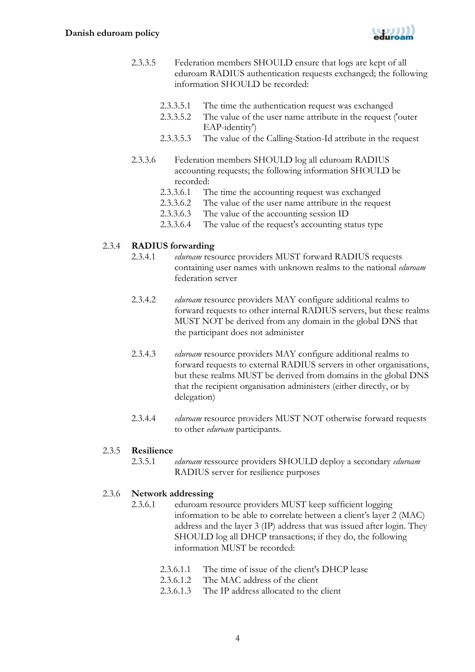

- 2.3.3.5 Federation members SHOULD ensure that logs are kept of all eduroam RADIUS authentication requests exchanged; the following information SHOULD be recorded:
	- 2.3.3.5.1 The time the authentication request was exchanged
	- 2.3.3.5.2 The value of the user name attribute in the request ('outer EAP-identity')
	- 2.3.3.5.3 The value of the Calling-Station-Id attribute in the request
- 2.3.3.6 Federation members SHOULD log all eduroam RADIUS accounting requests; the following information SHOULD be recorded:
	- 2.3.3.6.1 The time the accounting request was exchanged
	- 2.3.3.6.2 The value of the user name attribute in the request
	- 2.3.3.6.3 The value of the accounting session ID<br>2.3.3.6.4 The value of the request's accounting st
	- The value of the request's accounting status type

## 2.3.4 **RADIUS forwarding**

- 2.3.4.1 *eduroam* resource providers MUST forward RADIUS requests containing user names with unknown realms to the national *eduroam* federation server
- 2.3.4.2 *eduroam* resource providers MAY configure additional realms to forward requests to other internal RADIUS servers, but these realms MUST NOT be derived from any domain in the global DNS that the participant does not administer
- 2.3.4.3 *eduroam* resource providers MAY configure additional realms to forward requests to external RADIUS servers in other organisations, but these realms MUST be derived from domains in the global DNS that the recipient organisation administers (either directly, or by delegation)
- 2.3.4.4 *eduroam* resource providers MUST NOT otherwise forward requests to other *eduroam* participants.

#### 2.3.5 **Resilience**

2.3.5.1 *eduroam* ressource providers SHOULD deploy a secondary *eduroam* RADIUS server for resilience purposes

# 2.3.6 **Network addressing**

- 2.3.6.1 eduroam resource providers MUST keep sufficient logging information to be able to correlate between a client's layer 2 (MAC) address and the layer 3 (IP) address that was issued after login. They SHOULD log all DHCP transactions; if they do, the following information MUST be recorded:
	- 2.3.6.1.1 The time of issue of the client's DHCP lease
	- 2.3.6.1.2 The MAC address of the client
	- 2.3.6.1.3 The IP address allocated to the client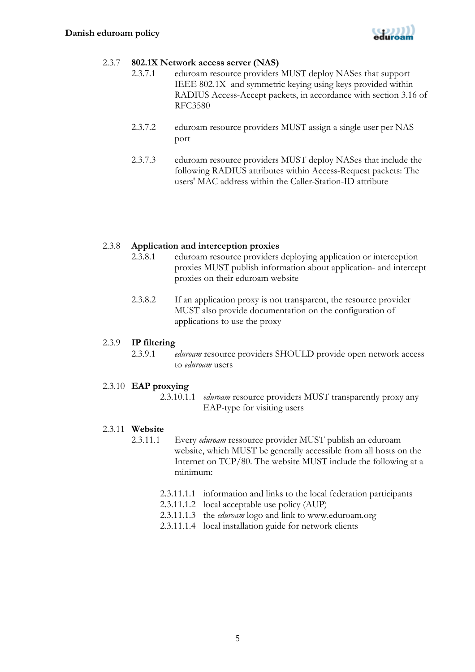

#### 2.3.7 **802.1X Network access server (NAS)**

- 2.3.7.1 eduroam resource providers MUST deploy NASes that support IEEE 802.1X and symmetric keying using keys provided within RADIUS Access-Accept packets, in accordance with section 3.16 of RFC3580
- 2.3.7.2 eduroam resource providers MUST assign a single user per NAS port
- 2.3.7.3 eduroam resource providers MUST deploy NASes that include the following RADIUS attributes within Access-Request packets: The users' MAC address within the Caller-Station-ID attribute

#### 2.3.8 **Application and interception proxies**

- 2.3.8.1 eduroam resource providers deploying application or interception proxies MUST publish information about application- and intercept proxies on their eduroam website
- 2.3.8.2 If an application proxy is not transparent, the resource provider MUST also provide documentation on the configuration of applications to use the proxy

#### 2.3.9 **IP filtering**

2.3.9.1 *eduroam* resource providers SHOULD provide open network access to *eduroam* users

#### 2.3.10 **EAP proxying**

2.3.10.1.1 *eduroam* resource providers MUST transparently proxy any EAP-type for visiting users

#### 2.3.11 **Website**

- 2.3.11.1 Every *eduroam* ressource provider MUST publish an eduroam website, which MUST be generally accessible from all hosts on the Internet on TCP/80. The website MUST include the following at a minimum:
	- 2.3.11.1.1 information and links to the local federation participants
	- 2.3.11.1.2 local acceptable use policy (AUP)
	- 2.3.11.1.3 the *eduroam* logo and link to www.eduroam.org
	- 2.3.11.1.4 local installation guide for network clients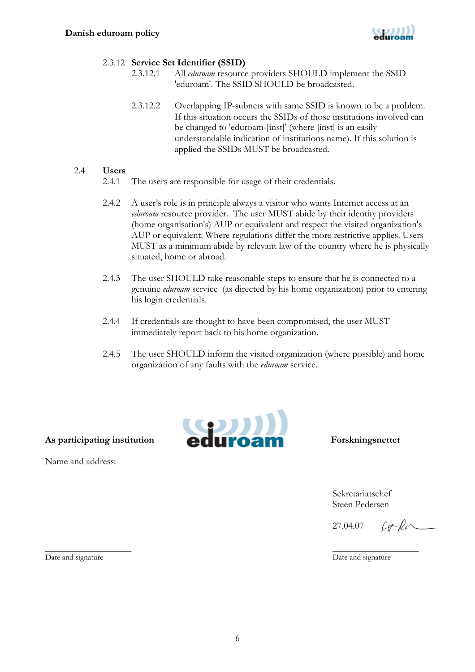

# 2.3.12 **Service Set Identifier (SSID)**

- 2.3.12.1 All *eduroam* resource providers SHOULD implement the SSID 'eduroam'. The SSID SHOULD be broadcasted.
	- 2.3.12.2 Overlapping IP-subnets with same SSID is known to be a problem. If this situation occurs the SSIDs of those institutions involved can be changed to 'eduroam-[inst]' (where [inst] is an easily understandable indication of institutions name). If this solution is applied the SSIDs MUST be broadcasted.

# 2.4 **Users**

- 2.4.1 The users are responsible for usage of their credentials.
- 2.4.2 A user's role is in principle always a visitor who wants Internet access at an *eduroam* resource provider. The user MUST abide by their identity providers (home organisation's) AUP or equivalent and respect the visited organization's AUP or equivalent. Where regulations differ the more restrictive applies. Users MUST as a minimum abide by relevant law of the country where he is physically situated, home or abroad.
- 2.4.3 The user SHOULD take reasonable steps to ensure that he is connected to a genuine *eduroam* service (as directed by his home organization) prior to entering his login credentials.
- 2.4.4 If credentials are thought to have been compromised, the user MUST immediately report back to his home organization.
- 2.4.5 The user SHOULD inform the visited organization (where possible) and home organization of any faults with the *eduroam* service.



 Sekretariatschef Steen Pedersen

27.04.07

 $Lefhr$ 

Date and signature Date and signature Date and signature

**\_\_\_\_\_\_\_\_\_\_\_\_\_\_\_\_\_\_ \_\_\_\_\_\_\_\_\_\_\_\_\_\_\_\_\_\_** 

Name and address: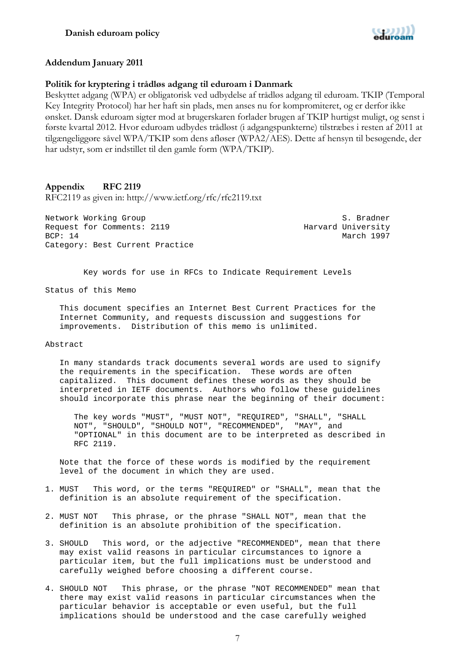

#### **Addendum January 2011**

#### **Politik for kryptering i trådløs adgang til eduroam i Danmark**

Beskyttet adgang (WPA) er obligatorisk ved udbydelse af trådløs adgang til eduroam. TKIP (Temporal Key Integrity Protocol) har her haft sin plads, men anses nu for kompromiteret, og er derfor ikke ønsket. Dansk eduroam sigter mod at brugerskaren forlader brugen af TKIP hurtigst muligt, og senst i første kvartal 2012. Hvor eduroam udbydes trådløst (i adgangspunkterne) tilstræbes i resten af 2011 at tilgængeliggøre såvel WPA/TKIP som dens afløser (WPA2/AES). Dette af hensyn til besøgende, der har udstyr, som er indstillet til den gamle form (WPA/TKIP).

## **Appendix RFC 2119**

RFC2119 as given in: http://www.ietf.org/rfc/rfc2119.txt

Network Working Group S. Bradner Request for Comments: 2119 Harvard University BCP: 14 March 1997 Category: Best Current Practice

Key words for use in RFCs to Indicate Requirement Levels

Status of this Memo

 This document specifies an Internet Best Current Practices for the Internet Community, and requests discussion and suggestions for improvements. Distribution of this memo is unlimited.

#### Abstract

 In many standards track documents several words are used to signify the requirements in the specification. These words are often capitalized. This document defines these words as they should be interpreted in IETF documents. Authors who follow these guidelines should incorporate this phrase near the beginning of their document:

 The key words "MUST", "MUST NOT", "REQUIRED", "SHALL", "SHALL NOT", "SHOULD", "SHOULD NOT", "RECOMMENDED", "MAY", and "OPTIONAL" in this document are to be interpreted as described in RFC 2119.

 Note that the force of these words is modified by the requirement level of the document in which they are used.

- 1. MUST This word, or the terms "REQUIRED" or "SHALL", mean that the definition is an absolute requirement of the specification.
- 2. MUST NOT This phrase, or the phrase "SHALL NOT", mean that the definition is an absolute prohibition of the specification.
- 3. SHOULD This word, or the adjective "RECOMMENDED", mean that there may exist valid reasons in particular circumstances to ignore a particular item, but the full implications must be understood and carefully weighed before choosing a different course.
- 4. SHOULD NOT This phrase, or the phrase "NOT RECOMMENDED" mean that there may exist valid reasons in particular circumstances when the particular behavior is acceptable or even useful, but the full implications should be understood and the case carefully weighed